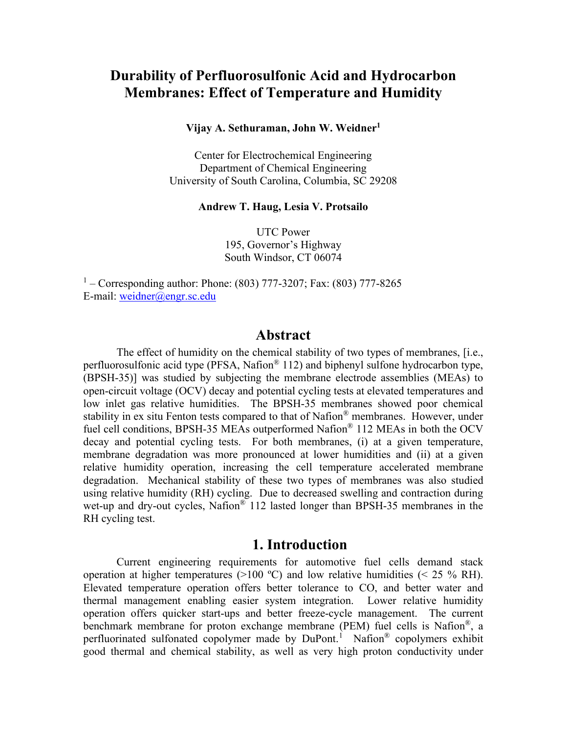# **Durability of Perfluorosulfonic Acid and Hydrocarbon Membranes: Effect of Temperature and Humidity**

**Vijay A. Sethuraman, John W. Weidner1**

Center for Electrochemical Engineering Department of Chemical Engineering University of South Carolina, Columbia, SC 29208

#### **Andrew T. Haug, Lesia V. Protsailo**

UTC Power 195, Governor's Highway South Windsor, CT 06074

 $1 -$  Corresponding author: Phone: (803) 777-3207; Fax: (803) 777-8265 E-mail: [weidner@engr.sc.edu](mailto:weidner@engr.sc.edu) 

#### **Abstract**

The effect of humidity on the chemical stability of two types of membranes, [i.e., perfluorosulfonic acid type (PFSA, Nafion® 112) and biphenyl sulfone hydrocarbon type, (BPSH-35)] was studied by subjecting the membrane electrode assemblies (MEAs) to open-circuit voltage (OCV) decay and potential cycling tests at elevated temperatures and low inlet gas relative humidities. The BPSH-35 membranes showed poor chemical stability in ex situ Fenton tests compared to that of Nafion® membranes. However, under fuel cell conditions, BPSH-35 MEAs outperformed Nafion® 112 MEAs in both the OCV decay and potential cycling tests. For both membranes, (i) at a given temperature, membrane degradation was more pronounced at lower humidities and (ii) at a given relative humidity operation, increasing the cell temperature accelerated membrane degradation. Mechanical stability of these two types of membranes was also studied using relative humidity (RH) cycling. Due to decreased swelling and contraction during wet-up and dry-out cycles, Nafion<sup>®</sup> 112 lasted longer than BPSH-35 membranes in the RH cycling test.

#### **1. Introduction**

Current engineering requirements for automotive fuel cells demand stack operation at higher temperatures ( $>100$  °C) and low relative humidities ( $< 25$  % RH). Elevated temperature operation offers better tolerance to CO, and better water and thermal management enabling easier system integration. Lower relative humidity operation offers quicker start-ups and better freeze-cycle management. The current benchmark membrane for proton exchange membrane (PEM) fuel cells is Nafion®, a perfluorinated sulfonated copolymer made by DuPont.<sup>[1](#page-20-0)</sup> Nafion® copolymers exhibit good thermal and chemical stability, as well as very high proton conductivity under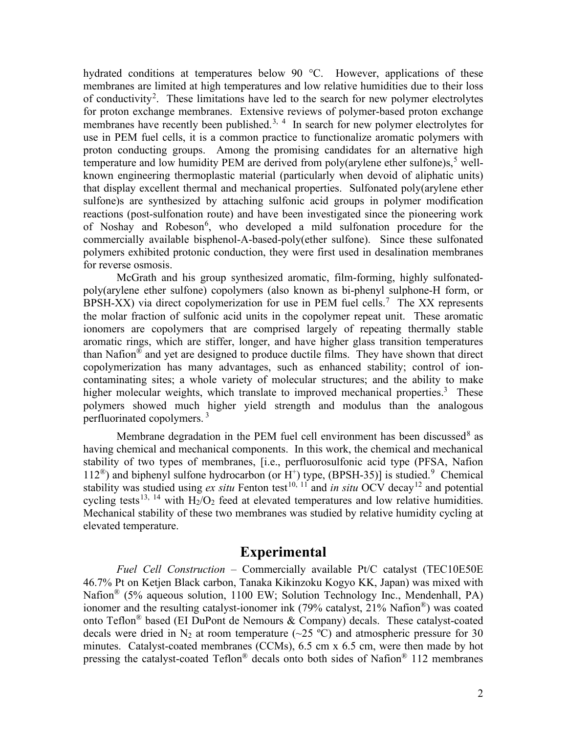<span id="page-1-0"></span>hydrated conditions at temperatures below 90 °C. However, applications of these membranes are limited at high temperatures and low relative humidities due to their loss of conductivity<sup>[2](#page-20-1)</sup>. These limitations have led to the search for new polymer electrolytes for proton exchange membranes. Extensive reviews of polymer-based proton exchange membranes have recently been published.<sup>[3](#page-20-2), [4](#page-20-3)</sup> In search for new polymer electrolytes for use in PEM fuel cells, it is a common practice to functionalize aromatic polymers with proton conducting groups. Among the promising candidates for an alternative high temperature and low humidity PEM are derived from poly(arylene ether sulfone)s,<sup>[5](#page-20-4)</sup> wellknown engineering thermoplastic material (particularly when devoid of aliphatic units) that display excellent thermal and mechanical properties. Sulfonated poly(arylene ether sulfone)s are synthesized by attaching sulfonic acid groups in polymer modification reactions (post-sulfonation route) and have been investigated since the pioneering work of Noshay and Robeson<sup>[6](#page-20-5)</sup>, who developed a mild sulfonation procedure for the commercially available bisphenol-A-based-poly(ether sulfone). Since these sulfonated polymers exhibited protonic conduction, they were first used in desalination membranes for reverse osmosis.

McGrath and his group synthesized aromatic, film-forming, highly sulfonatedpoly(arylene ether sulfone) copolymers (also known as bi-phenyl sulphone-H form, or BPSH-XX) via direct copolymerization for use in PEM fuel cells.<sup>[7](#page-20-6)</sup> The XX represents the molar fraction of sulfonic acid units in the copolymer repeat unit. These aromatic ionomers are copolymers that are comprised largely of repeating thermally stable aromatic rings, which are stiffer, longer, and have higher glass transition temperatures than Nafion<sup>®</sup> and yet are designed to produce ductile films. They have shown that direct copolymerization has many advantages, such as enhanced stability; control of ioncontaminating sites; a whole variety of molecular structures; and the ability to make higher molecular weights, which translate to improved mechanical properties.<sup>3</sup> These polymers showed much higher yield strength and modulus than the analogous perfluorinated copolymers. [3](#page-1-0)

Membrane degradation in the PEM fuel cell environment has been discussed<sup>[8](#page-20-7)</sup> as having chemical and mechanical components. In this work, the chemical and mechanical stability of two types of membranes, [i.e., perfluorosulfonic acid type (PFSA, Nafion  $112^{\circledR}$ ) and biphenyl sulfone hydrocarbon (or H<sup>+</sup>) type, (BPSH-35)] is studied.<sup>[9](#page-20-8)</sup> Chemical stability was studied using  $ex$  *situ* Fenton test<sup>[10](#page-20-9), [11](#page-20-10)</sup> and *in situ* OCV decay<sup>[12](#page-20-11)</sup> and potential cycling tests<sup>[13,](#page-20-12) [14](#page-20-13)</sup> with  $H_2/O_2$  feed at elevated temperatures and low relative humidities. Mechanical stability of these two membranes was studied by relative humidity cycling at elevated temperature.

# <span id="page-1-1"></span>**Experimental**

*Fuel Cell Construction* – Commercially available Pt/C catalyst (TEC10E50E 46.7% Pt on Ketjen Black carbon, Tanaka Kikinzoku Kogyo KK, Japan) was mixed with Nafion<sup>®</sup> (5% aqueous solution, 1100 EW; Solution Technology Inc., Mendenhall, PA) ionomer and the resulting catalyst-ionomer ink (79% catalyst, 21% Nafion®) was coated onto Teflon<sup>®</sup> based (EI DuPont de Nemours & Company) decals. These catalyst-coated decals were dried in N<sub>2</sub> at room temperature ( $\sim$ 25 °C) and atmospheric pressure for 30 minutes. Catalyst-coated membranes (CCMs), 6.5 cm x 6.5 cm, were then made by hot pressing the catalyst-coated Teflon® decals onto both sides of Nafion® 112 membranes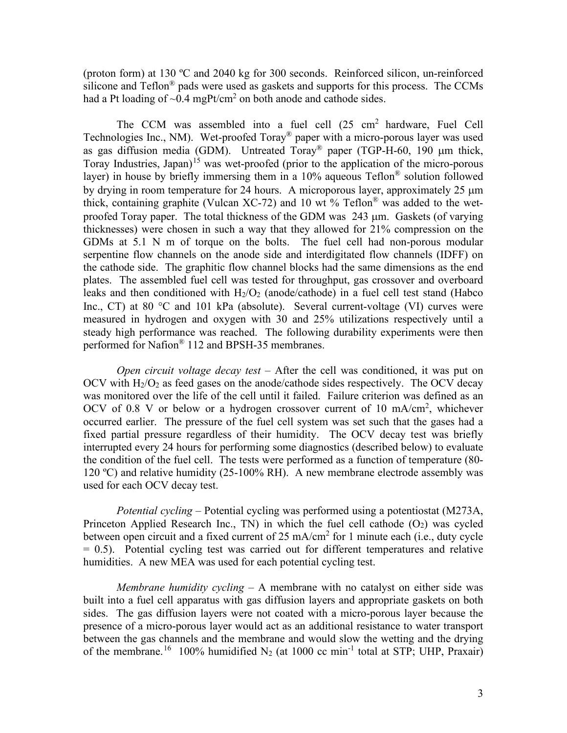(proton form) at 130 ºC and 2040 kg for 300 seconds. Reinforced silicon, un-reinforced silicone and  $Teflon^{\circledR}$  pads were used as gaskets and supports for this process. The CCMs had a Pt loading of  $\sim 0.4$  mgPt/cm<sup>2</sup> on both anode and cathode sides.

The CCM was assembled into a fuel cell (25 cm<sup>2</sup> hardware, Fuel Cell Technologies Inc., NM). Wet-proofed Toray® paper with a micro-porous layer was used as gas diffusion media (GDM). Untreated Toray® paper (TGP-H-60, 190 µm thick, Toray Industries, Japan)<sup>[15](#page-20-14)</sup> was wet-proofed (prior to the application of the micro-porous layer) in house by briefly immersing them in a  $10\%$  aqueous Teflon<sup>®</sup> solution followed by drying in room temperature for 24 hours. A microporous layer, approximately 25 µm thick, containing graphite (Vulcan XC-72) and 10 wt % Teflon<sup>®</sup> was added to the wetproofed Toray paper. The total thickness of the GDM was 243 µm. Gaskets (of varying thicknesses) were chosen in such a way that they allowed for 21% compression on the GDMs at 5.1 N m of torque on the bolts. The fuel cell had non-porous modular serpentine flow channels on the anode side and interdigitated flow channels (IDFF) on the cathode side. The graphitic flow channel blocks had the same dimensions as the end plates. The assembled fuel cell was tested for throughput, gas crossover and overboard leaks and then conditioned with  $H_2/O_2$  (anode/cathode) in a fuel cell test stand (Habco Inc., CT) at 80 °C and 101 kPa (absolute). Several current-voltage (VI) curves were measured in hydrogen and oxygen with 30 and 25% utilizations respectively until a steady high performance was reached. The following durability experiments were then performed for Nafion® 112 and BPSH-35 membranes.

*Open circuit voltage decay test* – After the cell was conditioned, it was put on OCV with  $H_2/O_2$  as feed gases on the anode/cathode sides respectively. The OCV decay was monitored over the life of the cell until it failed. Failure criterion was defined as an OCV of 0.8 V or below or a hydrogen crossover current of 10 mA/cm<sup>2</sup>, whichever occurred earlier. The pressure of the fuel cell system was set such that the gases had a fixed partial pressure regardless of their humidity. The OCV decay test was briefly interrupted every 24 hours for performing some diagnostics (described below) to evaluate the condition of the fuel cell. The tests were performed as a function of temperature (80- 120 ºC) and relative humidity (25-100% RH). A new membrane electrode assembly was used for each OCV decay test.

*Potential cycling –* Potential cycling was performed using a potentiostat (M273A, Princeton Applied Research Inc., TN) in which the fuel cell cathode  $(O_2)$  was cycled between open circuit and a fixed current of 25 mA/cm<sup>2</sup> for 1 minute each (i.e., duty cycle  $= 0.5$ ). Potential cycling test was carried out for different temperatures and relative humidities. A new MEA was used for each potential cycling test.

*Membrane humidity cycling* – A membrane with no catalyst on either side was built into a fuel cell apparatus with gas diffusion layers and appropriate gaskets on both sides. The gas diffusion layers were not coated with a micro-porous layer because the presence of a micro-porous layer would act as an additional resistance to water transport between the gas channels and the membrane and would slow the wetting and the drying of the membrane.<sup>16</sup> 100% humidified N<sub>2</sub> (at 1000 cc min<sup>-1</sup> total at STP; UHP, Praxair)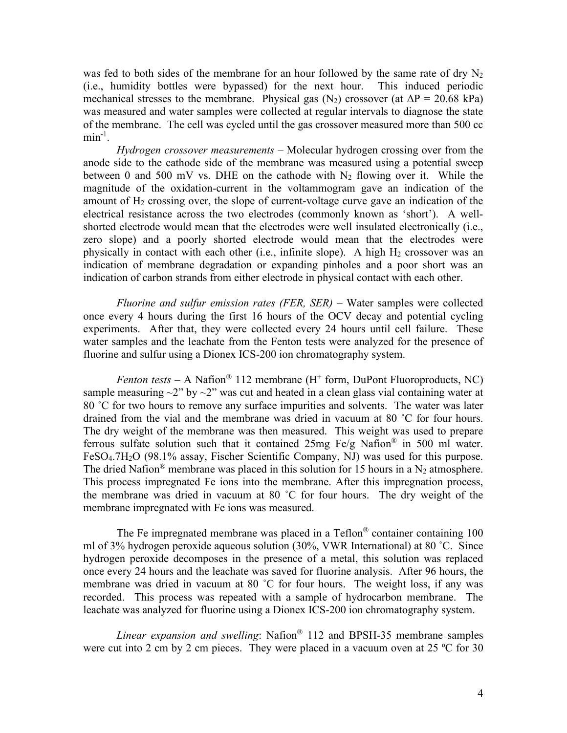was fed to both sides of the membrane for an hour followed by the same rate of dry  $N_2$ (i.e., humidity bottles were bypassed) for the next hour. This induced periodic mechanical stresses to the membrane. Physical gas  $(N_2)$  crossover (at  $\Delta P = 20.68$  kPa) was measured and water samples were collected at regular intervals to diagnose the state of the membrane. The cell was cycled until the gas crossover measured more than 500 cc  $min^{-1}$ .

*Hydrogen crossover measurements* – Molecular hydrogen crossing over from the anode side to the cathode side of the membrane was measured using a potential sweep between 0 and 500 mV vs. DHE on the cathode with  $N_2$  flowing over it. While the magnitude of the oxidation-current in the voltammogram gave an indication of the amount of  $H_2$  crossing over, the slope of current-voltage curve gave an indication of the electrical resistance across the two electrodes (commonly known as 'short'). A wellshorted electrode would mean that the electrodes were well insulated electronically (i.e., zero slope) and a poorly shorted electrode would mean that the electrodes were physically in contact with each other (i.e., infinite slope). A high  $H_2$  crossover was an indication of membrane degradation or expanding pinholes and a poor short was an indication of carbon strands from either electrode in physical contact with each other.

*Fluorine and sulfur emission rates (FER, SER)* – Water samples were collected once every 4 hours during the first 16 hours of the OCV decay and potential cycling experiments. After that, they were collected every 24 hours until cell failure. These water samples and the leachate from the Fenton tests were analyzed for the presence of fluorine and sulfur using a Dionex ICS-200 ion chromatography system.

*Fenton tests* – A Nafion<sup>®</sup> 112 membrane (H<sup>+</sup> form, DuPont Fluoroproducts, NC) sample measuring  $\sim$ 2" by  $\sim$ 2" was cut and heated in a clean glass vial containing water at 80 ˚C for two hours to remove any surface impurities and solvents. The water was later drained from the vial and the membrane was dried in vacuum at 80 ˚C for four hours. The dry weight of the membrane was then measured. This weight was used to prepare ferrous sulfate solution such that it contained  $25mg \text{ Fe/g}$  Nafion<sup>®</sup> in 500 ml water. FeSO<sub>4</sub>.7H<sub>2</sub>O (98.1% assay, Fischer Scientific Company, NJ) was used for this purpose. The dried Nafion<sup>®</sup> membrane was placed in this solution for 15 hours in a N<sub>2</sub> atmosphere. This process impregnated Fe ions into the membrane. After this impregnation process, the membrane was dried in vacuum at 80 ˚C for four hours. The dry weight of the membrane impregnated with Fe ions was measured.

The Fe impregnated membrane was placed in a  $\text{Teflon}^{\circledR}$  container containing 100 ml of 3% hydrogen peroxide aqueous solution (30%, VWR International) at 80 ˚C. Since hydrogen peroxide decomposes in the presence of a metal, this solution was replaced once every 24 hours and the leachate was saved for fluorine analysis. After 96 hours, the membrane was dried in vacuum at 80 °C for four hours. The weight loss, if any was recorded. This process was repeated with a sample of hydrocarbon membrane. The leachate was analyzed for fluorine using a Dionex ICS-200 ion chromatography system.

*Linear expansion and swelling*: Nafion® 112 and BPSH-35 membrane samples were cut into 2 cm by 2 cm pieces. They were placed in a vacuum oven at 25 °C for 30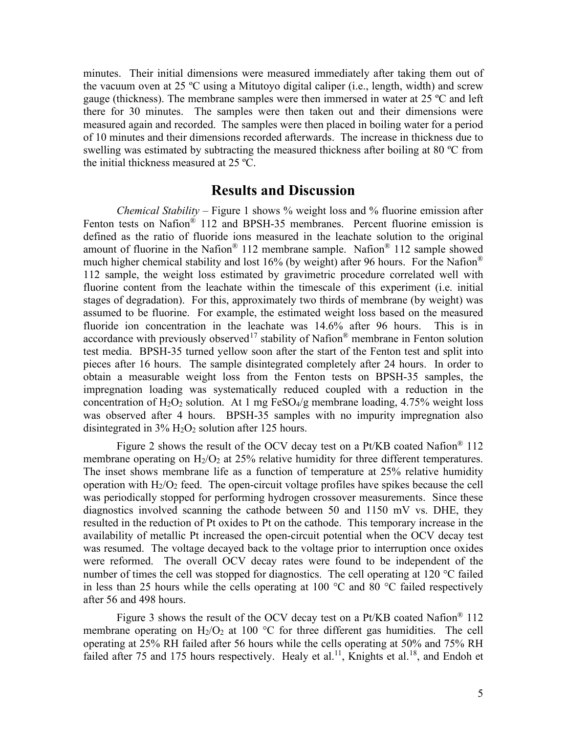minutes. Their initial dimensions were measured immediately after taking them out of the vacuum oven at 25 ºC using a Mitutoyo digital caliper (i.e., length, width) and screw gauge (thickness). The membrane samples were then immersed in water at 25 ºC and left there for 30 minutes. The samples were then taken out and their dimensions were measured again and recorded. The samples were then placed in boiling water for a period of 10 minutes and their dimensions recorded afterwards. The increase in thickness due to swelling was estimated by subtracting the measured thickness after boiling at 80 ºC from the initial thickness measured at 25 ºC.

#### **Results and Discussion**

*Chemical Stability* – Figure 1 shows % weight loss and % fluorine emission after Fenton tests on Nafion® 112 and BPSH-35 membranes. Percent fluorine emission is defined as the ratio of fluoride ions measured in the leachate solution to the original amount of fluorine in the Nafion<sup>®</sup> 112 membrane sample. Nafion<sup>®</sup> 112 sample showed much higher chemical stability and lost 16% (by weight) after 96 hours. For the Nafion<sup>®</sup> 112 sample, the weight loss estimated by gravimetric procedure correlated well with fluorine content from the leachate within the timescale of this experiment (i.e. initial stages of degradation). For this, approximately two thirds of membrane (by weight) was assumed to be fluorine. For example, the estimated weight loss based on the measured fluoride ion concentration in the leachate was 14.6% after 96 hours. This is in accordance with previously observed<sup>[17](#page-20-16)</sup> stability of Nafion<sup>®</sup> membrane in Fenton solution test media. BPSH-35 turned yellow soon after the start of the Fenton test and split into pieces after 16 hours. The sample disintegrated completely after 24 hours. In order to obtain a measurable weight loss from the Fenton tests on BPSH-35 samples, the impregnation loading was systematically reduced coupled with a reduction in the concentration of  $H_2O_2$  solution. At 1 mg FeSO<sub>4</sub>/g membrane loading, 4.75% weight loss was observed after 4 hours. BPSH-35 samples with no impurity impregnation also disintegrated in  $3\%$  H<sub>2</sub>O<sub>2</sub> solution after 125 hours.

[Figure 2](#page-8-0) shows the result of the OCV decay test on a Pt/KB coated Nafion® 112 membrane operating on  $H_2/O_2$  at 25% relative humidity for three different temperatures. The inset shows membrane life as a function of temperature at 25% relative humidity operation with  $H_2/O_2$  feed. The open-circuit voltage profiles have spikes because the cell was periodically stopped for performing hydrogen crossover measurements. Since these diagnostics involved scanning the cathode between 50 and 1150 mV vs. DHE, they resulted in the reduction of Pt oxides to Pt on the cathode. This temporary increase in the availability of metallic Pt increased the open-circuit potential when the OCV decay test was resumed. The voltage decayed back to the voltage prior to interruption once oxides were reformed. The overall OCV decay rates were found to be independent of the number of times the cell was stopped for diagnostics. The cell operating at 120 °C failed in less than 25 hours while the cells operating at 100  $\degree$ C and 80  $\degree$ C failed respectively after 56 and 498 hours.

[Figure 3](#page-8-1) shows the result of the OCV decay test on a Pt/KB coated Nafion® 112 membrane operating on  $H_2/O_2$  at 100 °C for three different gas humidities. The cell operating at 25% RH failed after 56 hours while the cells operating at 50% and 75% RH failed after 75 and 175 hours respectively. Healy et al.<sup>11</sup>, Knights et al.<sup>[18](#page-20-17)</sup>, and Endoh et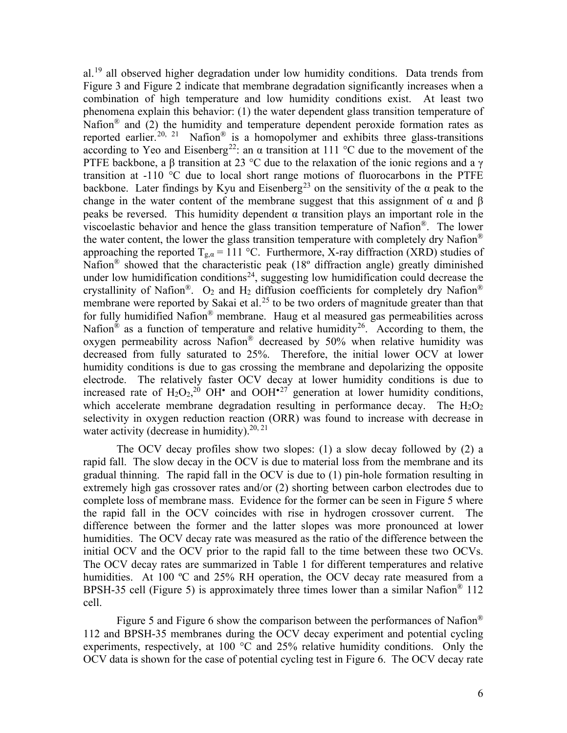<span id="page-5-1"></span><span id="page-5-0"></span>al.[19](#page-20-18) all observed higher degradation under low humidity conditions. Data trends from [Figure 3](#page-8-1) and [Figure 2](#page-8-0) indicate that membrane degradation significantly increases when a combination of high temperature and low humidity conditions exist. At least two phenomena explain this behavior: (1) the water dependent glass transition temperature of Nafion<sup>®</sup> and (2) the humidity and temperature dependent peroxide formation rates as reported earlier.<sup>[20](#page-20-19), [21](#page-20-20)</sup> Nafion<sup>®</sup> is a homopolymer and exhibits three glass-transitions according to Yeo and Eisenberg<sup>[22](#page-21-0)</sup>: an  $\alpha$  transition at 111 °C due to the movement of the PTFE backbone, a β transition at 23 °C due to the relaxation of the ionic regions and a  $\gamma$ transition at  $-110$  °C due to local short range motions of fluorocarbons in the PTFE backbone. Later findings by Kyu and Eisenberg<sup>[23](#page-21-1)</sup> on the sensitivity of the  $\alpha$  peak to the change in the water content of the membrane suggest that this assignment of  $\alpha$  and  $\beta$ peaks be reversed. This humidity dependent  $\alpha$  transition plays an important role in the viscoelastic behavior and hence the glass transition temperature of Nafion®. The lower the water content, the lower the glass transition temperature with completely dry Nafion<sup>®</sup> approaching the reported  $T_{g,a} = 111 \text{ °C}$ . Furthermore, X-ray diffraction (XRD) studies of Nafion® showed that the characteristic peak (18º diffraction angle) greatly diminished under low humidification conditions<sup>[24](#page-21-2)</sup>, suggesting low humidification could decrease the crystallinity of Nafion®.  $O_2$  and  $H_2$  diffusion coefficients for completely dry Nafion® membrane were reported by Sakai et al.<sup>[25](#page-21-3)</sup> to be two orders of magnitude greater than that for fully humidified Nafion® membrane. Haug et al measured gas permeabilities across Nafion<sup>®</sup> as a function of temperature and relative humidity<sup>[26](#page-21-4)</sup>. According to them, the oxygen permeability across Nafion® decreased by 50% when relative humidity was decreased from fully saturated to 25%. Therefore, the initial lower OCV at lower humidity conditions is due to gas crossing the membrane and depolarizing the opposite electrode. The relatively faster OCV decay at lower humidity conditions is due to increased rate of  $H_2O_2$ <sup>[20](#page-5-0)</sup> OH<sup>•</sup> and OOH<sup>•[27](#page-21-5)</sup> generation at lower humidity conditions, which accelerate membrane degradation resulting in performance decay. The  $H_2O_2$ selectivity in oxygen reduction reaction (ORR) was found to increase with decrease in water activity (decrease in humidity).<sup>[20,](#page-5-0) [21](#page-5-1)</sup>

<span id="page-5-2"></span>The OCV decay profiles show two slopes: (1) a slow decay followed by (2) a rapid fall. The slow decay in the OCV is due to material loss from the membrane and its gradual thinning. The rapid fall in the OCV is due to (1) pin-hole formation resulting in extremely high gas crossover rates and/or (2) shorting between carbon electrodes due to complete loss of membrane mass. Evidence for the former can be seen in [Figure 5](#page-8-2) where the rapid fall in the OCV coincides with rise in hydrogen crossover current. The difference between the former and the latter slopes was more pronounced at lower humidities. The OCV decay rate was measured as the ratio of the difference between the initial OCV and the OCV prior to the rapid fall to the time between these two OCVs. The OCV decay rates are summarized in [Table 1](#page-10-0) for different temperatures and relative humidities. At 100 °C and 25% RH operation, the OCV decay rate measured from a BPSH-35 cell [\(Figure 5\)](#page-8-2) is approximately three times lower than a similar Nafion® 112 cell.

[Figure 5](#page-8-2) and [Figure 6](#page-8-3) show the comparison between the performances of Nafion<sup>®</sup> 112 and BPSH-35 membranes during the OCV decay experiment and potential cycling experiments, respectively, at 100 °C and 25% relative humidity conditions. Only the OCV data is shown for the case of potential cycling test in [Figure 6.](#page-8-3) The OCV decay rate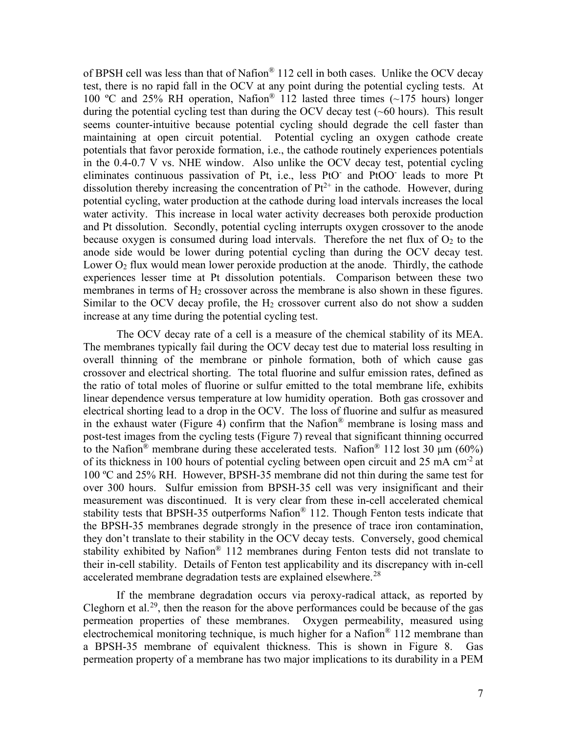of BPSH cell was less than that of Nafion® 112 cell in both cases. Unlike the OCV decay test, there is no rapid fall in the OCV at any point during the potential cycling tests. At 100 ºC and 25% RH operation, Nafion® 112 lasted three times (~175 hours) longer during the potential cycling test than during the OCV decay test (~60 hours). This result seems counter-intuitive because potential cycling should degrade the cell faster than maintaining at open circuit potential. Potential cycling an oxygen cathode create potentials that favor peroxide formation, i.e., the cathode routinely experiences potentials in the 0.4-0.7 V vs. NHE window. Also unlike the OCV decay test, potential cycling eliminates continuous passivation of Pt, i.e., less PtO- and PtOO- leads to more Pt dissolution thereby increasing the concentration of  $Pt^{2+}$  in the cathode. However, during potential cycling, water production at the cathode during load intervals increases the local water activity. This increase in local water activity decreases both peroxide production and Pt dissolution. Secondly, potential cycling interrupts oxygen crossover to the anode because oxygen is consumed during load intervals. Therefore the net flux of  $O_2$  to the anode side would be lower during potential cycling than during the OCV decay test. Lower  $O_2$  flux would mean lower peroxide production at the anode. Thirdly, the cathode experiences lesser time at Pt dissolution potentials. Comparison between these two membranes in terms of  $H_2$  crossover across the membrane is also shown in these figures. Similar to the OCV decay profile, the  $H_2$  crossover current also do not show a sudden increase at any time during the potential cycling test.

The OCV decay rate of a cell is a measure of the chemical stability of its MEA. The membranes typically fail during the OCV decay test due to material loss resulting in overall thinning of the membrane or pinhole formation, both of which cause gas crossover and electrical shorting. The total fluorine and sulfur emission rates, defined as the ratio of total moles of fluorine or sulfur emitted to the total membrane life, exhibits linear dependence versus temperature at low humidity operation. Both gas crossover and electrical shorting lead to a drop in the OCV. The loss of fluorine and sulfur as measured in the exhaust water [\(Figure 4\)](#page-8-4) confirm that the Nafion® membrane is losing mass and post-test images from the cycling tests [\(Figure 7\)](#page-9-0) reveal that significant thinning occurred to the Nafion<sup>®</sup> membrane during these accelerated tests. Nafion<sup>®</sup> 112 lost 30  $\mu$ m (60%) of its thickness in 100 hours of potential cycling between open circuit and 25 mA cm<sup>-2</sup> at 100 ºC and 25% RH. However, BPSH-35 membrane did not thin during the same test for over 300 hours. Sulfur emission from BPSH-35 cell was very insignificant and their measurement was discontinued. It is very clear from these in-cell accelerated chemical stability tests that BPSH-35 outperforms Nafion® 112. Though Fenton tests indicate that the BPSH-35 membranes degrade strongly in the presence of trace iron contamination, they don't translate to their stability in the OCV decay tests. Conversely, good chemical stability exhibited by Nafion<sup>®</sup> 112 membranes during Fenton tests did not translate to their in-cell stability. Details of Fenton test applicability and its discrepancy with in-cell accelerated membrane degradation tests are explained elsewhere.<sup>[28](#page-21-6)</sup>

If the membrane degradation occurs via peroxy-radical attack, as reported by Cleghorn et al.<sup>[29](#page-21-7)</sup>, then the reason for the above performances could be because of the gas permeation properties of these membranes. Oxygen permeability, measured using electrochemical monitoring technique, is much higher for a Nafion<sup>®</sup> 112 membrane than a BPSH-35 membrane of equivalent thickness. This is shown in [Figure 8.](#page-9-1) Gas permeation property of a membrane has two major implications to its durability in a PEM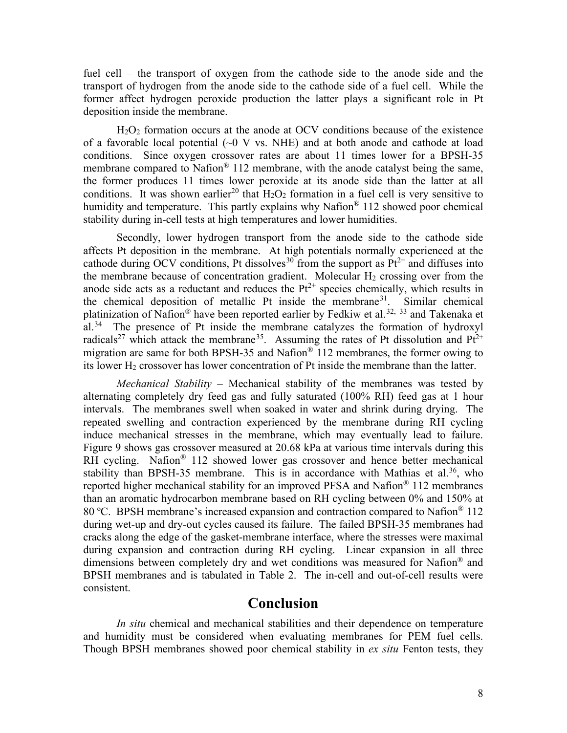fuel cell – the transport of oxygen from the cathode side to the anode side and the transport of hydrogen from the anode side to the cathode side of a fuel cell. While the former affect hydrogen peroxide production the latter plays a significant role in Pt deposition inside the membrane.

H2O2 formation occurs at the anode at OCV conditions because of the existence of a favorable local potential  $\sim 0$  V vs. NHE) and at both anode and cathode at load conditions. Since oxygen crossover rates are about 11 times lower for a BPSH-35 membrane compared to Nafion<sup>®</sup> 112 membrane, with the anode catalyst being the same, the former produces 11 times lower peroxide at its anode side than the latter at all conditions. It was shown earlier<sup>20</sup> that  $H_2O_2$  formation in a fuel cell is very sensitive to humidity and temperature. This partly explains why Nafion<sup>®</sup> 112 showed poor chemical stability during in-cell tests at high temperatures and lower humidities.

Secondly, lower hydrogen transport from the anode side to the cathode side affects Pt deposition in the membrane. At high potentials normally experienced at the cathode during OCV conditions, Pt dissolves<sup>[30](#page-21-8)</sup> from the support as  $Pt^{2+}$  and diffuses into the membrane because of concentration gradient. Molecular  $H_2$  crossing over from the anode side acts as a reductant and reduces the  $Pt^{2+}$  species chemically, which results in the chemical deposition of metallic Pt inside the membrane<sup>[31](#page-21-9)</sup>. Similar chemical platinization of Nafion<sup>®</sup> have been reported earlier by Fedkiw et al.<sup>[32,](#page-21-10) [33](#page-21-11)</sup> and Takenaka et al.<sup>[34](#page-21-12)</sup> The presence of Pt inside the membrane catalyzes the formation of hydroxyl radicals<sup>[27](#page-5-2)</sup> which attack the membrane<sup>35</sup>. Assuming the rates of Pt dissolution and  $Pt^{2+}$ migration are same for both BPSH-35 and Nafion<sup>®</sup> 112 membranes, the former owing to its lower  $H_2$  crossover has lower concentration of Pt inside the membrane than the latter.

*Mechanical Stability* – Mechanical stability of the membranes was tested by alternating completely dry feed gas and fully saturated (100% RH) feed gas at 1 hour intervals. The membranes swell when soaked in water and shrink during drying. The repeated swelling and contraction experienced by the membrane during RH cycling induce mechanical stresses in the membrane, which may eventually lead to failure. [Figure 9](#page-9-2) shows gas crossover measured at 20.68 kPa at various time intervals during this RH cycling. Nafion<sup>®</sup> 112 showed lower gas crossover and hence better mechanical stability than BPSH-35 membrane. This is in accordance with Mathias et al.<sup>[36](#page-21-14)</sup>, who reported higher mechanical stability for an improved PFSA and Nafion® 112 membranes than an aromatic hydrocarbon membrane based on RH cycling between 0% and 150% at 80 ºC. BPSH membrane's increased expansion and contraction compared to Nafion® 112 during wet-up and dry-out cycles caused its failure. The failed BPSH-35 membranes had cracks along the edge of the gasket-membrane interface, where the stresses were maximal during expansion and contraction during RH cycling. Linear expansion in all three dimensions between completely dry and wet conditions was measured for Nafion® and BPSH membranes and is tabulated in [Table 2.](#page-10-1) The in-cell and out-of-cell results were consistent.

# **Conclusion**

*In situ* chemical and mechanical stabilities and their dependence on temperature and humidity must be considered when evaluating membranes for PEM fuel cells. Though BPSH membranes showed poor chemical stability in *ex situ* Fenton tests, they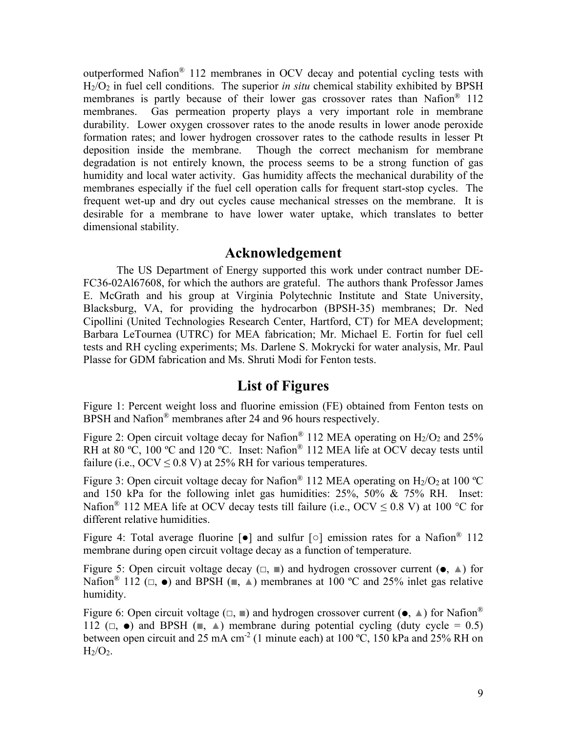outperformed Nafion® 112 membranes in OCV decay and potential cycling tests with H2/O2 in fuel cell conditions. The superior *in situ* chemical stability exhibited by BPSH membranes is partly because of their lower gas crossover rates than Nafion<sup>®</sup> 112 membranes. Gas permeation property plays a very important role in membrane durability. Lower oxygen crossover rates to the anode results in lower anode peroxide formation rates; and lower hydrogen crossover rates to the cathode results in lesser Pt deposition inside the membrane. Though the correct mechanism for membrane degradation is not entirely known, the process seems to be a strong function of gas humidity and local water activity. Gas humidity affects the mechanical durability of the membranes especially if the fuel cell operation calls for frequent start-stop cycles. The frequent wet-up and dry out cycles cause mechanical stresses on the membrane. It is desirable for a membrane to have lower water uptake, which translates to better dimensional stability.

## **Acknowledgement**

The US Department of Energy supported this work under contract number DE-FC36-02Al67608, for which the authors are grateful. The authors thank Professor James E. McGrath and his group at Virginia Polytechnic Institute and State University, Blacksburg, VA, for providing the hydrocarbon (BPSH-35) membranes; Dr. Ned Cipollini (United Technologies Research Center, Hartford, CT) for MEA development; Barbara LeTournea (UTRC) for MEA fabrication; Mr. Michael E. Fortin for fuel cell tests and RH cycling experiments; Ms. Darlene S. Mokrycki for water analysis, Mr. Paul Plasse for GDM fabrication and Ms. Shruti Modi for Fenton tests.

## **List of Figures**

Figure 1: Percent weight loss and fluorine emission (FE) obtained from Fenton tests on BPSH and Nafion<sup>®</sup> membranes after 24 and 96 hours respectively.

<span id="page-8-0"></span>Figure 2: Open circuit voltage decay for Nafion<sup>®</sup> 112 MEA operating on  $H_2/O_2$  and 25% RH at 80 °C, 100 °C and 120 °C. Inset: Nafion<sup>®</sup> 112 MEA life at OCV decay tests until failure (i.e.,  $OCV \le 0.8$  V) at 25% RH for various temperatures.

<span id="page-8-1"></span>Figure 3: Open circuit voltage decay for Nafion<sup>®</sup> 112 MEA operating on  $H_2/O_2$  at 100 °C and 150 kPa for the following inlet gas humidities: 25%, 50% & 75% RH. Inset: Nafion<sup>®</sup> 112 MEA life at OCV decay tests till failure (i.e., OCV  $\leq$  0.8 V) at 100 °C for different relative humidities.

<span id="page-8-4"></span>Figure 4: Total average fluorine [●] and sulfur [○] emission rates for a Nafion® 112 membrane during open circuit voltage decay as a function of temperature.

<span id="page-8-2"></span>Figure 5: Open circuit voltage decay  $(\square, \square)$  and hydrogen crossover current ( $\bullet$ ,  $\triangle$ ) for Nafion<sup>®</sup> 112 ( $\Box$ ,  $\bullet$ ) and BPSH ( $\Box$ ,  $\blacktriangle$ ) membranes at 100 °C and 25% inlet gas relative humidity.

<span id="page-8-3"></span>Figure 6: Open circuit voltage  $(\square, \square)$  and hydrogen crossover current  $(\bullet, \triangle)$  for Nafion<sup>®</sup> 112 ( $\Box$ ,  $\bullet$ ) and BPSH ( $\blacksquare$ ,  $\blacktriangle$ ) membrane during potential cycling (duty cycle = 0.5) between open circuit and 25 mA cm<sup>-2</sup> (1 minute each) at 100 °C, 150 kPa and 25% RH on  $H<sub>2</sub>/O<sub>2</sub>$ .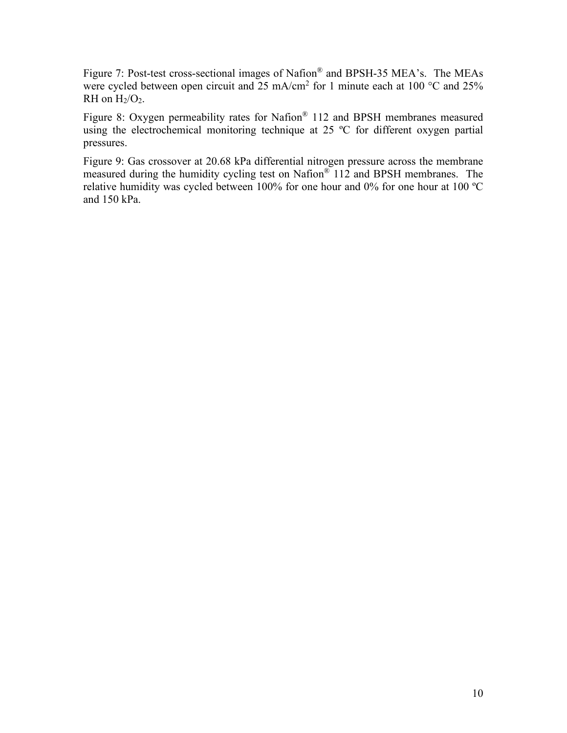<span id="page-9-0"></span>Figure 7: Post-test cross-sectional images of Nafion® and BPSH-35 MEA's. The MEAs were cycled between open circuit and  $25 \text{ mA/cm}^2$  for 1 minute each at 100 °C and 25% RH on  $H_2/O_2$ .

<span id="page-9-1"></span>Figure 8: Oxygen permeability rates for Nafion® 112 and BPSH membranes measured using the electrochemical monitoring technique at 25 °C for different oxygen partial pressures.

<span id="page-9-2"></span>Figure 9: Gas crossover at 20.68 kPa differential nitrogen pressure across the membrane measured during the humidity cycling test on Nafion® 112 and BPSH membranes. The relative humidity was cycled between 100% for one hour and 0% for one hour at 100 ºC and 150 kPa.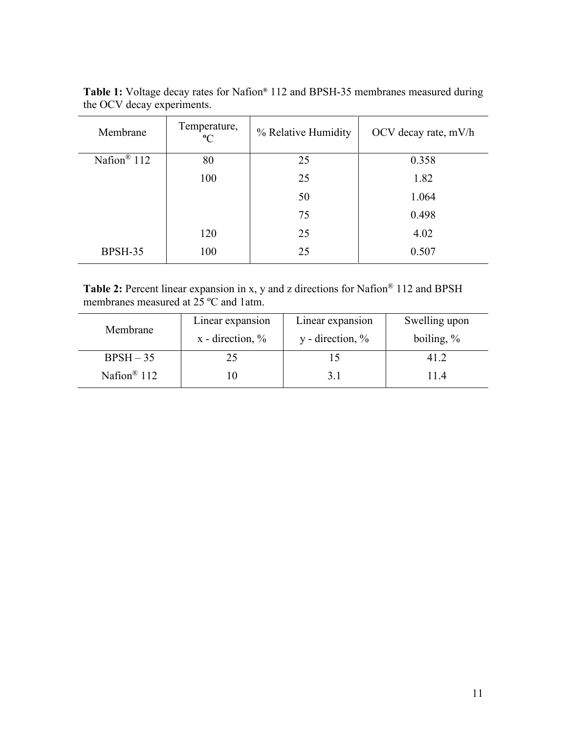| Membrane                | Temperature,<br>$\rm ^{o}C$ | % Relative Humidity | OCV decay rate, mV/h |
|-------------------------|-----------------------------|---------------------|----------------------|
| Nafion <sup>®</sup> 112 | 80                          | 25                  | 0.358                |
|                         | 100                         | 25                  | 1.82                 |
|                         |                             | 50                  | 1.064                |
|                         |                             | 75                  | 0.498                |
|                         | 120                         | 25                  | 4.02                 |
| BPSH-35                 | 100                         | 25                  | 0.507                |

<span id="page-10-0"></span>**Table 1:** Voltage decay rates for Nafion**®** 112 and BPSH-35 membranes measured during the OCV decay experiments.

<span id="page-10-1"></span>**Table 2:** Percent linear expansion in x, y and z directions for Nafion® 112 and BPSH membranes measured at 25 ºC and 1atm.

| Membrane                | Linear expansion      | Linear expansion                       | Swelling upon |
|-------------------------|-----------------------|----------------------------------------|---------------|
|                         | $x -$ direction, $\%$ | $y$ - direction, $\%$<br>boiling, $\%$ |               |
| $BPSH - 35$             | 25                    |                                        | 41.2          |
| Nafion <sup>®</sup> 112 | l ()                  | 3.1                                    | 11.4          |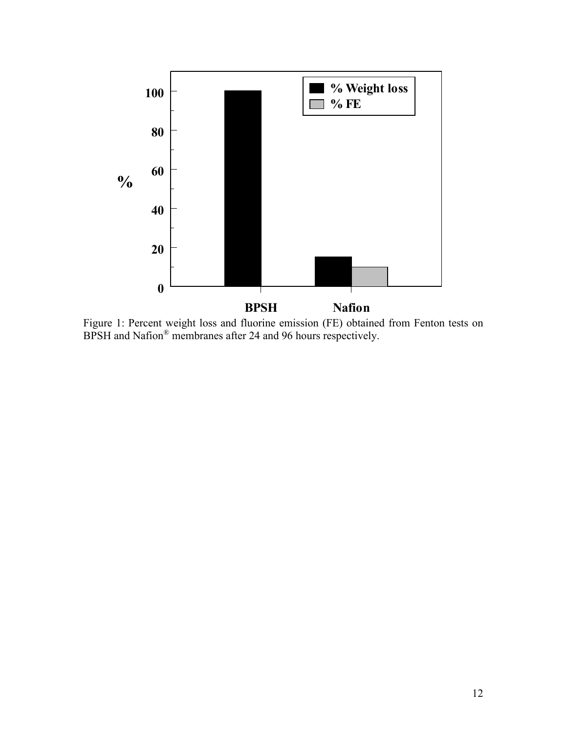

Figure 1: Percent weight loss and fluorine emission (FE) obtained from Fenton tests on BPSH and Nafion® membranes after 24 and 96 hours respectively.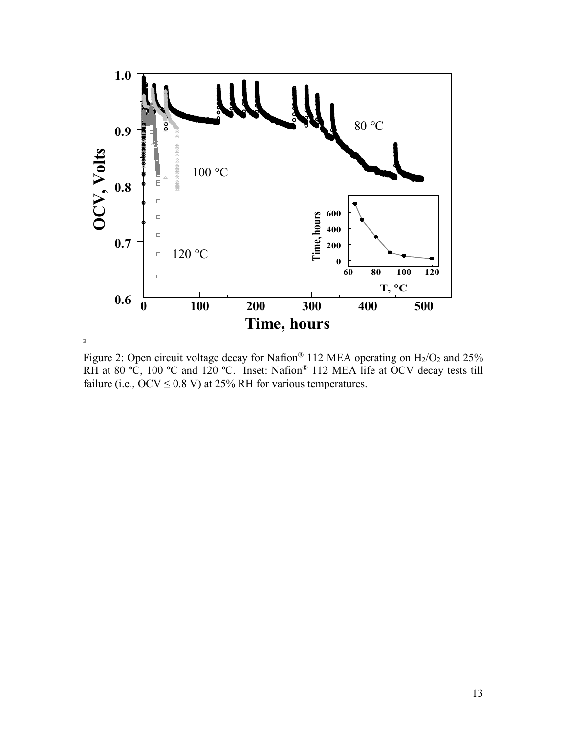

Figure 2: Open circuit voltage decay for Nafion<sup>®</sup> 112 MEA operating on  $H_2/O_2$  and 25% RH at 80 **º**C, 100 **º**C and 120 **º**C. Inset: Nafion® 112 MEA life at OCV decay tests till failure (i.e.,  $OCV \le 0.8$  V) at 25% RH for various temperatures.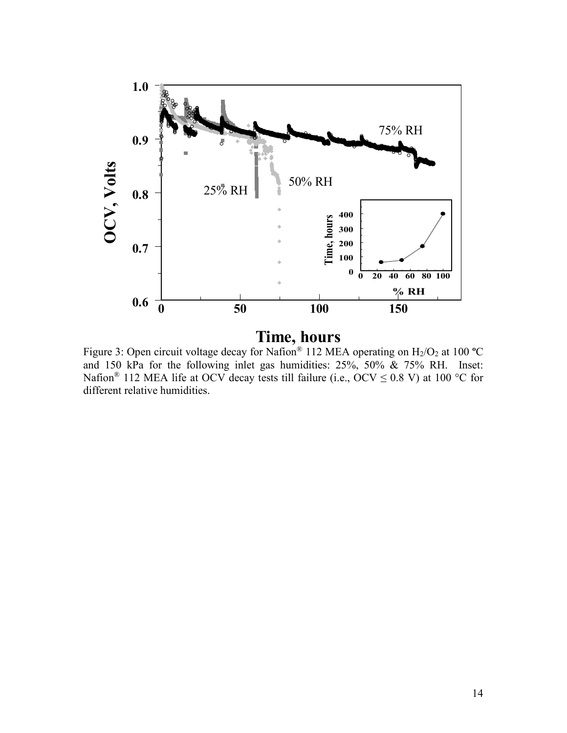

**Time, hours**

Figure 3: Open circuit voltage decay for Nafion® 112 MEA operating on H2/O2 at 100 **º**C and 150 kPa for the following inlet gas humidities: 25%, 50% & 75% RH. Inset: Nafion<sup>®</sup> 112 MEA life at OCV decay tests till failure (i.e., OCV  $\leq$  0.8 V) at 100 °C for different relative humidities.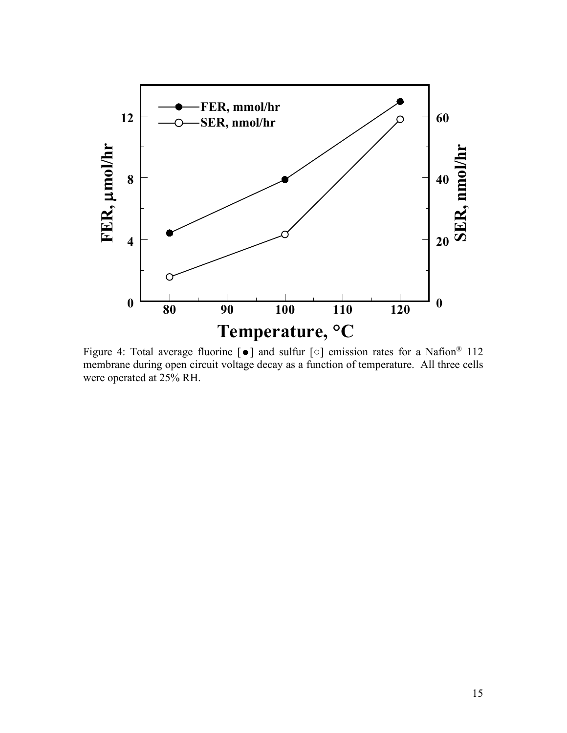

Figure 4: Total average fluorine  $\lceil \bullet \rceil$  and sulfur  $\lceil \circ \rceil$  emission rates for a Nafion<sup>®</sup> 112 membrane during open circuit voltage decay as a function of temperature. All three cells were operated at 25% RH.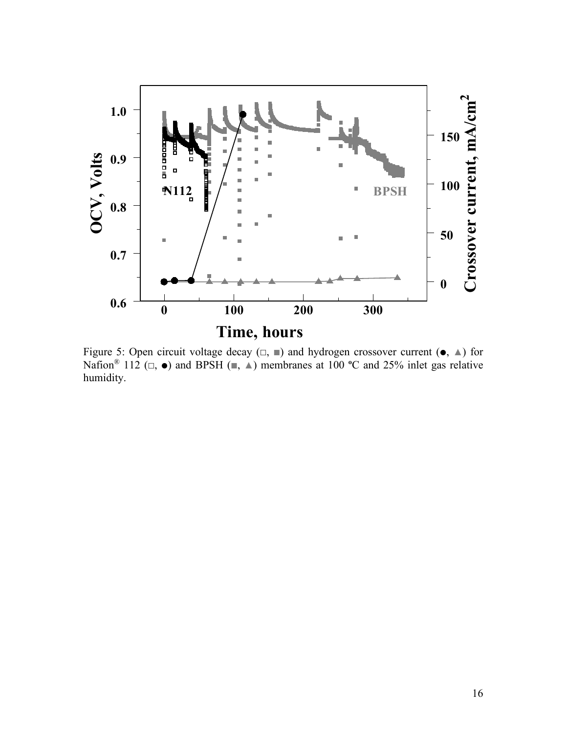

Figure 5: Open circuit voltage decay  $(\square, \square)$  and hydrogen crossover current  $(\bullet, \triangle)$  for Nafion<sup>®</sup> 112 ( $\Box$ ,  $\bullet$ ) and BPSH ( $\Box$ ,  $\triangle$ ) membranes at 100 °C and 25% inlet gas relative humidity.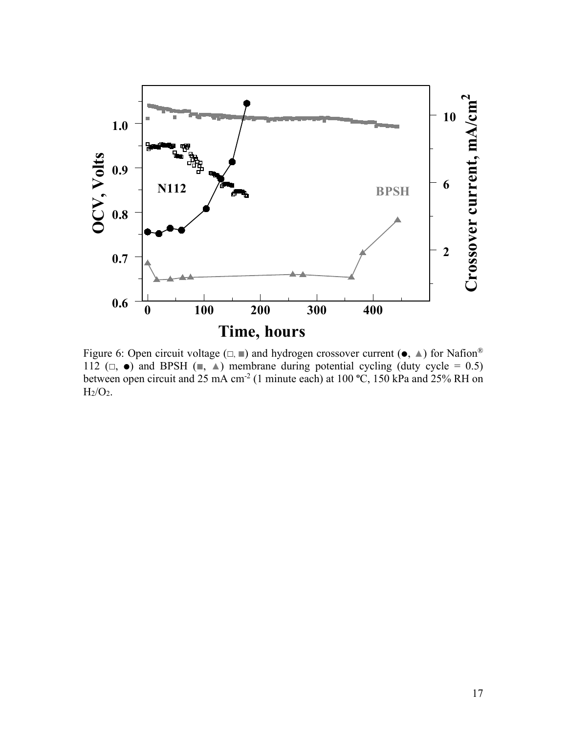

Figure 6: Open circuit voltage  $(\square, \square)$  and hydrogen crossover current  $(\bullet, \triangle)$  for Nafion<sup>®</sup> 112 ( $\Box$ ,  $\bullet$ ) and BPSH ( $\Box$ ,  $\triangle$ ) membrane during potential cycling (duty cycle = 0.5) between open circuit and 25 mA cm-2 (1 minute each) at 100 **º**C, 150 kPa and 25% RH on  $\mathrm{H}_2/\mathrm{O}_2.$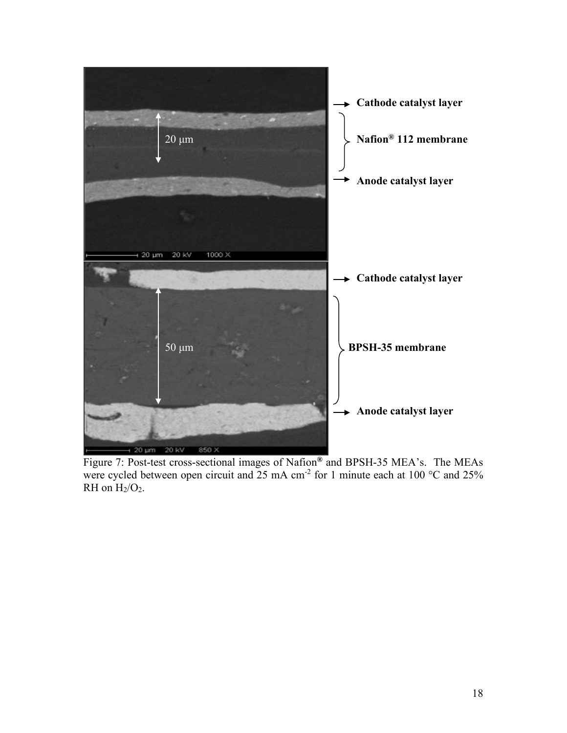

Figure 7: Post-test cross-sectional images of Nafion**®** and BPSH-35 MEA's. The MEAs were cycled between open circuit and 25 mA cm<sup>-2</sup> for 1 minute each at 100  $^{\circ}$ C and 25% RH on  $H_2/O_2$ .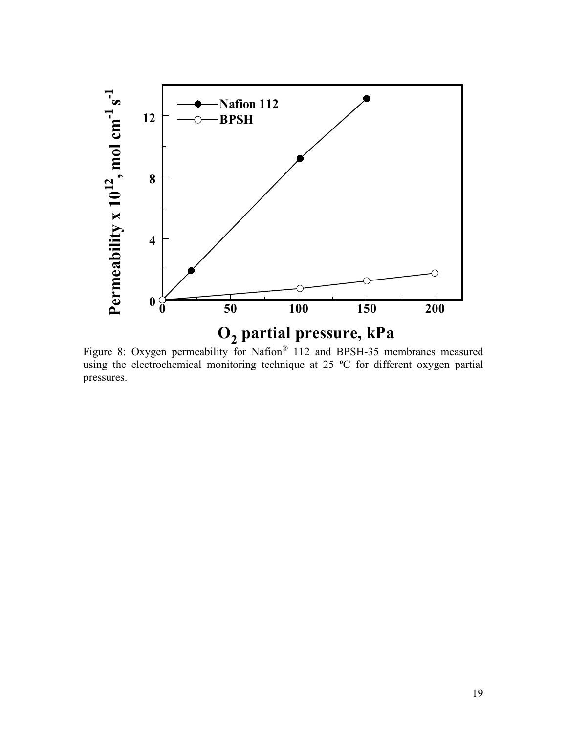

Figure 8: Oxygen permeability for Nafion® 112 and BPSH-35 membranes measured using the electrochemical monitoring technique at 25 **º**C for different oxygen partial pressures.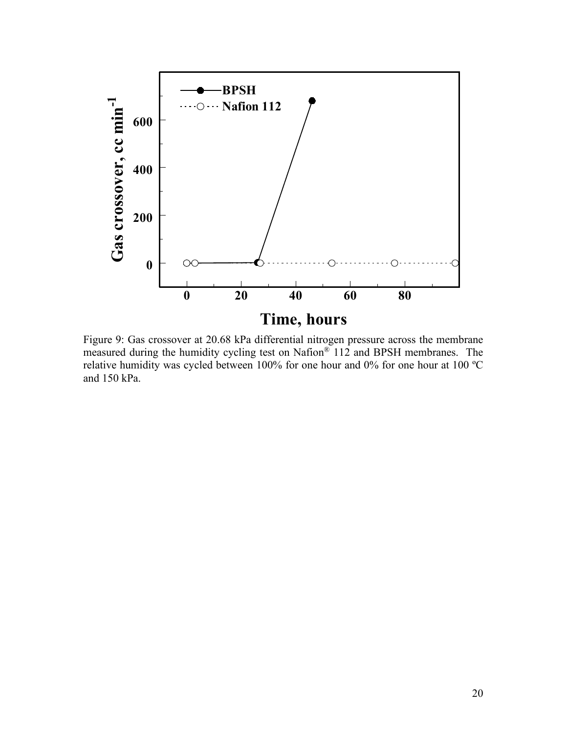

Figure 9: Gas crossover at 20.68 kPa differential nitrogen pressure across the membrane measured during the humidity cycling test on Nafion® 112 and BPSH membranes. The relative humidity was cycled between 100% for one hour and 0% for one hour at 100 ºC and 150 kPa.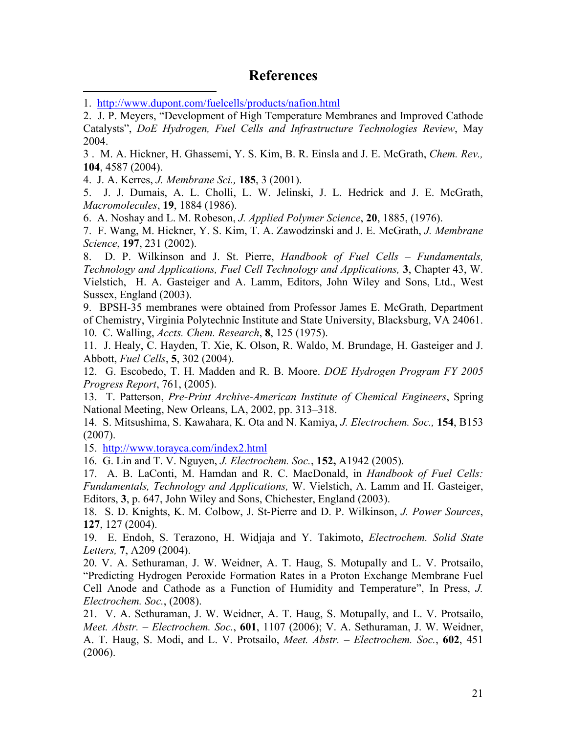# **References**

<span id="page-20-0"></span>1. <http://www.dupont.com/fuelcells/products/nafion.html>

<span id="page-20-1"></span>2. J. P. Meyers, "Development of High Temperature Membranes and Improved Cathode Catalysts", *DoE Hydrogen, Fuel Cells and Infrastructure Technologies Review*, May 2004.

<span id="page-20-2"></span>3 . M. A. Hickner, H. Ghassemi, Y. S. Kim, B. R. Einsla and J. E. McGrath, *Chem. Rev.,*  **104**, 4587 (2004).

<span id="page-20-3"></span>4. J. A. Kerres, *J. Membrane Sci.,* **185**, 3 (2001).

<span id="page-20-4"></span>5. J. J. Dumais, A. L. Cholli, L. W. Jelinski, J. L. Hedrick and J. E. McGrath, *Macromolecules*, **19**, 1884 (1986).

<span id="page-20-5"></span>6. A. Noshay and L. M. Robeson, *J. Applied Polymer Science*, **20**, 1885, (1976).

<span id="page-20-6"></span>7. F. Wang, M. Hickner, Y. S. Kim, T. A. Zawodzinski and J. E. McGrath, *J. Membrane Science*, **197**, 231 (2002).

<span id="page-20-7"></span>8. D. P. Wilkinson and J. St. Pierre, *Handbook of Fuel Cells – Fundamentals, Technology and Applications, Fuel Cell Technology and Applications,* **3**, Chapter 43, W. Vielstich, H. A. Gasteiger and A. Lamm, Editors, John Wiley and Sons, Ltd., West Sussex, England (2003).

<span id="page-20-8"></span>9. BPSH-35 membranes were obtained from Professor James E. McGrath, Department of Chemistry, Virginia Polytechnic Institute and State University, Blacksburg, VA 24061. 10. C. Walling, *Accts. Chem. Research*, **8**, 125 (1975).

<span id="page-20-10"></span><span id="page-20-9"></span>11. J. Healy, C. Hayden, T. Xie, K. Olson, R. Waldo, M. Brundage, H. Gasteiger and J. Abbott, *Fuel Cells*, **5**, 302 (2004).

<span id="page-20-11"></span>12. G. Escobedo, T. H. Madden and R. B. Moore. *DOE Hydrogen Program FY 2005 Progress Report*, 761, (2005).

<span id="page-20-12"></span>13. T. Patterson, *Pre-Print Archive-American Institute of Chemical Engineers*, Spring National Meeting, New Orleans, LA, 2002, pp. 313–318.

<span id="page-20-13"></span>14. S. Mitsushima, S. Kawahara, K. Ota and N. Kamiya, *J. Electrochem. Soc.,* **154**, B153 (2007).

<span id="page-20-14"></span>15. <http://www.torayca.com/index2.html>

<span id="page-20-15"></span>16. G. Lin and T. V. Nguyen, *J. Electrochem. Soc.*, **152,** A1942 (2005).

<span id="page-20-16"></span>17. A. B. LaConti, M. Hamdan and R. C. MacDonald, in *Handbook of Fuel Cells: Fundamentals, Technology and Applications,* W. Vielstich, A. Lamm and H. Gasteiger, Editors, **3**, p. 647, John Wiley and Sons, Chichester, England (2003).

<span id="page-20-17"></span>18. S. D. Knights, K. M. Colbow, J. St-Pierre and D. P. Wilkinson, *J. Power Sources*, **127**, 127 (2004).

<span id="page-20-18"></span>19. E. Endoh, S. Terazono, H. Widjaja and Y. Takimoto, *Electrochem. Solid State Letters,* **7**, A209 (2004).

<span id="page-20-19"></span>20. V. A. Sethuraman, J. W. Weidner, A. T. Haug, S. Motupally and L. V. Protsailo, "Predicting Hydrogen Peroxide Formation Rates in a Proton Exchange Membrane Fuel Cell Anode and Cathode as a Function of Humidity and Temperature", In Press, *J. Electrochem. Soc.*, (2008).

<span id="page-20-20"></span>21. V. A. Sethuraman, J. W. Weidner, A. T. Haug, S. Motupally, and L. V. Protsailo, *Meet. Abstr. – Electrochem. Soc.*, **601**, 1107 (2006); V. A. Sethuraman, J. W. Weidner, A. T. Haug, S. Modi, and L. V. Protsailo, *Meet. Abstr. – Electrochem. Soc.*, **602**, 451 (2006).